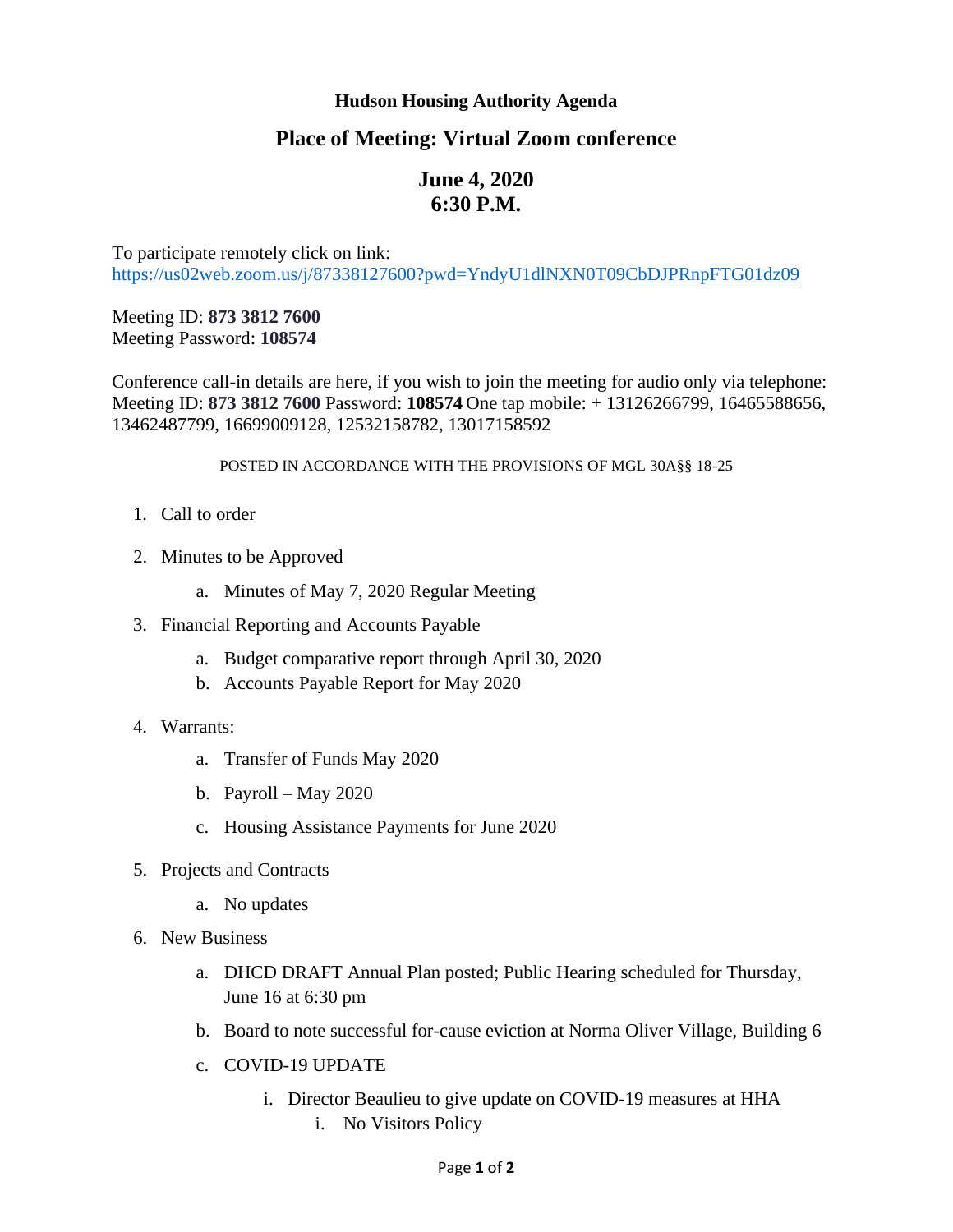## **Hudson Housing Authority Agenda**

## **Place of Meeting: Virtual Zoom conference**

## **June 4, 2020 6:30 P.M.**

To participate remotely click on link: <https://us02web.zoom.us/j/87338127600?pwd=YndyU1dlNXN0T09CbDJPRnpFTG01dz09>

Meeting ID: **873 3812 7600** Meeting Password: **108574**

Conference call-in details are here, if you wish to join the meeting for audio only via telephone: Meeting ID: **873 3812 7600** Password: **108574** One tap mobile: + 13126266799, 16465588656, 13462487799, 16699009128, 12532158782, 13017158592

## POSTED IN ACCORDANCE WITH THE PROVISIONS OF MGL 30A§§ 18-25

- 1. Call to order
- 2. Minutes to be Approved
	- a. Minutes of May 7, 2020 Regular Meeting
- 3. Financial Reporting and Accounts Payable
	- a. Budget comparative report through April 30, 2020
	- b. Accounts Payable Report for May 2020
- 4. Warrants:
	- a. Transfer of Funds May 2020
	- b. Payroll May 2020
	- c. Housing Assistance Payments for June 2020
- 5. Projects and Contracts
	- a. No updates
- 6. New Business
	- a. DHCD DRAFT Annual Plan posted; Public Hearing scheduled for Thursday, June 16 at 6:30 pm
	- b. Board to note successful for-cause eviction at Norma Oliver Village, Building 6
	- c. COVID-19 UPDATE
		- i. Director Beaulieu to give update on COVID-19 measures at HHA i. No Visitors Policy